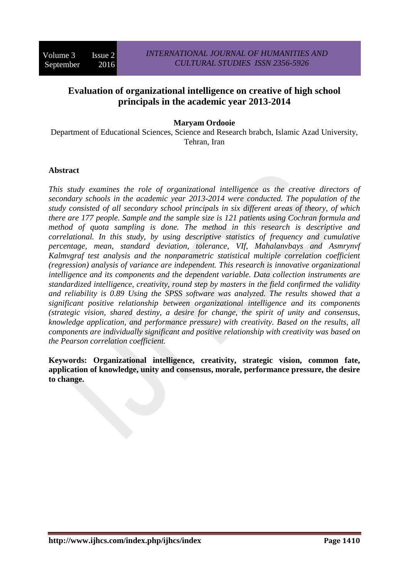# **Evaluation of organizational intelligence on creative of high school principals in the academic year 2013-2014**

## **Maryam Ordooie**

Department of Educational Sciences, Science and Research brabch, Islamic Azad University, Tehran, Iran

### **Abstract**

*This study examines the role of organizational intelligence as the creative directors of secondary schools in the academic year 2013-2014 were conducted. The population of the study consisted of all secondary school principals in six different areas of theory, of which there are 177 people. Sample and the sample size is 121 patients using Cochran formula and method of quota sampling is done. The method in this research is descriptive and correlational. In this study, by using descriptive statistics of frequency and cumulative percentage, mean, standard deviation, tolerance, VIf, Mahalanvbays and Asmrynvf Kalmvgraf test analysis and the nonparametric statistical multiple correlation coefficient (regression) analysis of variance are independent. This research is innovative organizational intelligence and its components and the dependent variable. Data collection instruments are standardized intelligence, creativity, round step by masters in the field confirmed the validity and reliability is 0.89 Using the SPSS software was analyzed. The results showed that a significant positive relationship between organizational intelligence and its components (strategic vision, shared destiny, a desire for change, the spirit of unity and consensus, knowledge application, and performance pressure) with creativity. Based on the results, all components are individually significant and positive relationship with creativity was based on the Pearson correlation coefficient.* 

**Keywords: Organizational intelligence, creativity, strategic vision, common fate, application of knowledge, unity and consensus, morale, performance pressure, the desire to change.**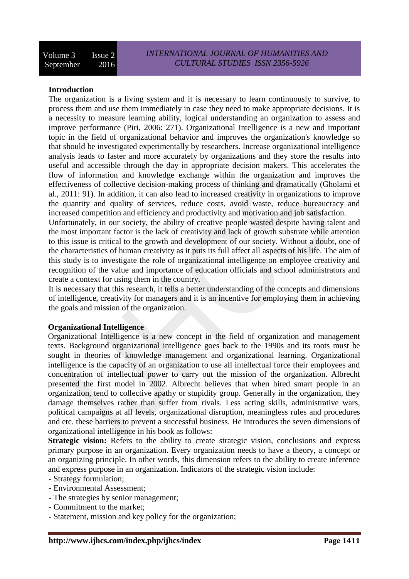### **Introduction**

The organization is a living system and it is necessary to learn continuously to survive, to process them and use them immediately in case they need to make appropriate decisions. It is a necessity to measure learning ability, logical understanding an organization to assess and improve performance (Piri, 2006: 271). Organizational Intelligence is a new and important topic in the field of organizational behavior and improves the organization's knowledge so that should be investigated experimentally by researchers. Increase organizational intelligence analysis leads to faster and more accurately by organizations and they store the results into useful and accessible through the day in appropriate decision makers. This accelerates the flow of information and knowledge exchange within the organization and improves the effectiveness of collective decision-making process of thinking and dramatically (Gholami et al., 2011: 91). In addition, it can also lead to increased creativity in organizations to improve the quantity and quality of services, reduce costs, avoid waste, reduce bureaucracy and increased competition and efficiency and productivity and motivation and job satisfaction.

Unfortunately, in our society, the ability of creative people wasted despite having talent and the most important factor is the lack of creativity and lack of growth substrate while attention to this issue is critical to the growth and development of our society. Without a doubt, one of the characteristics of human creativity as it puts its full affect all aspects of his life. The aim of this study is to investigate the role of organizational intelligence on employee creativity and recognition of the value and importance of education officials and school administrators and create a context for using them in the country.

It is necessary that this research, it tells a better understanding of the concepts and dimensions of intelligence, creativity for managers and it is an incentive for employing them in achieving the goals and mission of the organization.

#### **Organizational Intelligence**

Organizational Intelligence is a new concept in the field of organization and management texts. Background organizational intelligence goes back to the 1990s and its roots must be sought in theories of knowledge management and organizational learning. Organizational intelligence is the capacity of an organization to use all intellectual force their employees and concentration of intellectual power to carry out the mission of the organization. Albrecht presented the first model in 2002. Albrecht believes that when hired smart people in an organization, tend to collective apathy or stupidity group. Generally in the organization, they damage themselves rather than suffer from rivals. Less acting skills, administrative wars, political campaigns at all levels, organizational disruption, meaningless rules and procedures and etc. these barriers to prevent a successful business. He introduces the seven dimensions of organizational intelligence in his book as follows:

**Strategic vision:** Refers to the ability to create strategic vision, conclusions and express primary purpose in an organization. Every organization needs to have a theory, a concept or an organizing principle. In other words, this dimension refers to the ability to create inference and express purpose in an organization. Indicators of the strategic vision include:

- Strategy formulation;
- Environmental Assessment;
- The strategies by senior management;
- Commitment to the market;
- Statement, mission and key policy for the organization;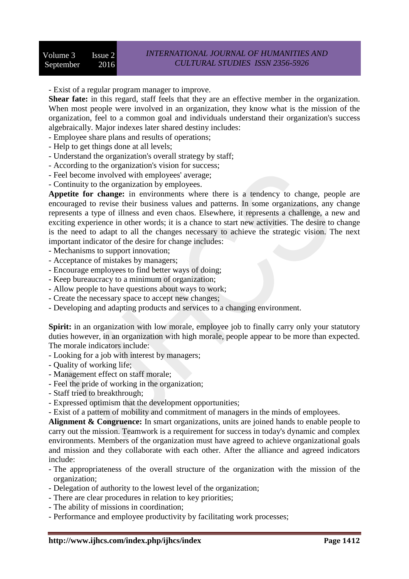- Exist of a regular program manager to improve.

**Shear fate:** in this regard, staff feels that they are an effective member in the organization. When most people were involved in an organization, they know what is the mission of the organization, feel to a common goal and individuals understand their organization's success algebraically. Major indexes later shared destiny includes:

- Employee share plans and results of operations;

- Help to get things done at all levels;
- Understand the organization's overall strategy by staff;
- According to the organization's vision for success;
- Feel become involved with employees' average;
- Continuity to the organization by employees.

**Appetite for change:** in environments where there is a tendency to change, people are encouraged to revise their business values and patterns. In some organizations, any change represents a type of illness and even chaos. Elsewhere, it represents a challenge, a new and exciting experience in other words; it is a chance to start new activities. The desire to change is the need to adapt to all the changes necessary to achieve the strategic vision. The next important indicator of the desire for change includes:

- Mechanisms to support innovation;
- Acceptance of mistakes by managers;
- Encourage employees to find better ways of doing;
- Keep bureaucracy to a minimum of organization;
- Allow people to have questions about ways to work;
- Create the necessary space to accept new changes;
- Developing and adapting products and services to a changing environment.

**Spirit:** in an organization with low morale, employee job to finally carry only your statutory duties however, in an organization with high morale, people appear to be more than expected. The morale indicators include:

- Looking for a job with interest by managers;
- Quality of working life;
- Management effect on staff morale;
- Feel the pride of working in the organization;
- Staff tried to breakthrough;
- Expressed optimism that the development opportunities;
- Exist of a pattern of mobility and commitment of managers in the minds of employees.

Alignment & Congruence: In smart organizations, units are joined hands to enable people to carry out the mission. Teamwork is a requirement for success in today's dynamic and complex environments. Members of the organization must have agreed to achieve organizational goals and mission and they collaborate with each other. After the alliance and agreed indicators include:

- The appropriateness of the overall structure of the organization with the mission of the organization;
- Delegation of authority to the lowest level of the organization;
- There are clear procedures in relation to key priorities;
- The ability of missions in coordination;
- Performance and employee productivity by facilitating work processes;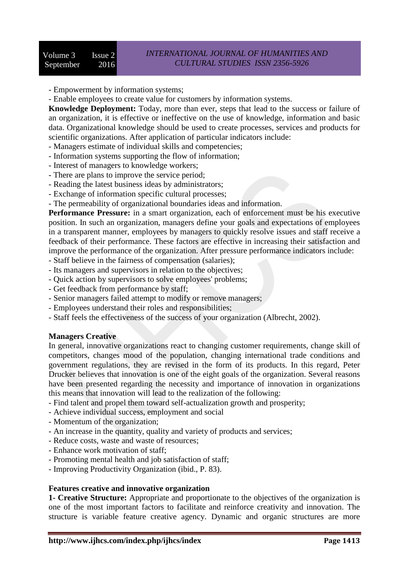- Empowerment by information systems;

- Enable employees to create value for customers by information systems.

**Knowledge Deployment:** Today, more than ever, steps that lead to the success or failure of an organization, it is effective or ineffective on the use of knowledge, information and basic data. Organizational knowledge should be used to create processes, services and products for scientific organizations. After application of particular indicators include:

- Managers estimate of individual skills and competencies;
- Information systems supporting the flow of information;
- Interest of managers to knowledge workers;
- There are plans to improve the service period;
- Reading the latest business ideas by administrators;
- Exchange of information specific cultural processes;
- The permeability of organizational boundaries ideas and information.

**Performance Pressure:** in a smart organization, each of enforcement must be his executive position. In such an organization, managers define your goals and expectations of employees in a transparent manner, employees by managers to quickly resolve issues and staff receive a feedback of their performance. These factors are effective in increasing their satisfaction and improve the performance of the organization. After pressure performance indicators include:

- Staff believe in the fairness of compensation (salaries);
- Its managers and supervisors in relation to the objectives;
- Quick action by supervisors to solve employees' problems;
- Get feedback from performance by staff;
- Senior managers failed attempt to modify or remove managers;
- Employees understand their roles and responsibilities;
- Staff feels the effectiveness of the success of your organization (Albrecht, 2002).

#### **Managers Creative**

In general, innovative organizations react to changing customer requirements, change skill of competitors, changes mood of the population, changing international trade conditions and government regulations, they are revised in the form of its products. In this regard, Peter Drucker believes that innovation is one of the eight goals of the organization. Several reasons have been presented regarding the necessity and importance of innovation in organizations this means that innovation will lead to the realization of the following:

- Find talent and propel them toward self-actualization growth and prosperity;
- Achieve individual success, employment and social
- Momentum of the organization;
- An increase in the quantity, quality and variety of products and services;
- Reduce costs, waste and waste of resources;
- Enhance work motivation of staff;
- Promoting mental health and job satisfaction of staff;
- Improving Productivity Organization (ibid., P. 83).

#### **Features creative and innovative organization**

**1- Creative Structure:** Appropriate and proportionate to the objectives of the organization is one of the most important factors to facilitate and reinforce creativity and innovation. The structure is variable feature creative agency. Dynamic and organic structures are more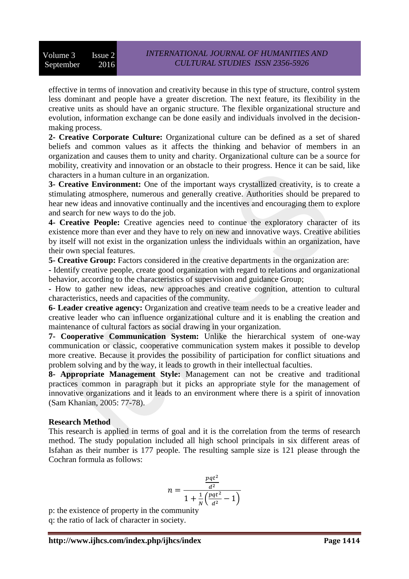effective in terms of innovation and creativity because in this type of structure, control system less dominant and people have a greater discretion. The next feature, its flexibility in the creative units as should have an organic structure. The flexible organizational structure and evolution, information exchange can be done easily and individuals involved in the decisionmaking process.

**2- Creative Corporate Culture:** Organizational culture can be defined as a set of shared beliefs and common values as it affects the thinking and behavior of members in an organization and causes them to unity and charity. Organizational culture can be a source for mobility, creativity and innovation or an obstacle to their progress. Hence it can be said, like characters in a human culture in an organization.

**3- Creative Environment:** One of the important ways crystallized creativity, is to create a stimulating atmosphere, numerous and generally creative. Authorities should be prepared to hear new ideas and innovative continually and the incentives and encouraging them to explore and search for new ways to do the job.

**4- Creative People:** Creative agencies need to continue the exploratory character of its existence more than ever and they have to rely on new and innovative ways. Creative abilities by itself will not exist in the organization unless the individuals within an organization, have their own special features.

**5- Creative Group:** Factors considered in the creative departments in the organization are:

**-** Identify creative people, create good organization with regard to relations and organizational behavior, according to the characteristics of supervision and guidance Group;

**-** How to gather new ideas, new approaches and creative cognition, attention to cultural characteristics, needs and capacities of the community.

**6- Leader creative agency:** Organization and creative team needs to be a creative leader and creative leader who can influence organizational culture and it is enabling the creation and maintenance of cultural factors as social drawing in your organization.

**7- Cooperative Communication System:** Unlike the hierarchical system of one-way communication or classic, cooperative communication system makes it possible to develop more creative. Because it provides the possibility of participation for conflict situations and problem solving and by the way, it leads to growth in their intellectual faculties.

**8- Appropriate Management Style:** Management can not be creative and traditional practices common in paragraph but it picks an appropriate style for the management of innovative organizations and it leads to an environment where there is a spirit of innovation (Sam Khanian, 2005: 77-78).

## **Research Method**

This research is applied in terms of goal and it is the correlation from the terms of research method. The study population included all high school principals in six different areas of Isfahan as their number is 177 people. The resulting sample size is 121 please through the Cochran formula as follows:

$$
n = \frac{\frac{pqt^2}{d^2}}{1 + \frac{1}{N}(\frac{pqt^2}{d^2} - 1)}
$$

p: the existence of property in the community q: the ratio of lack of character in society.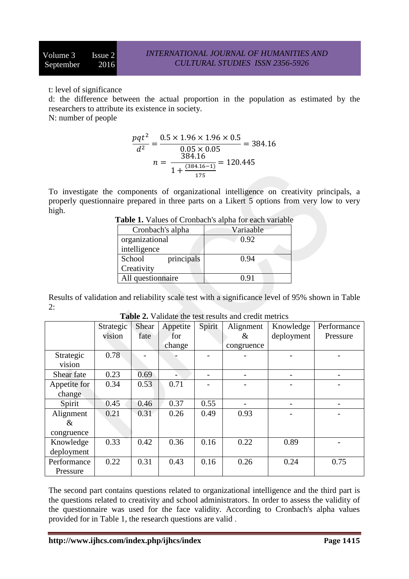t: level of significance

d: the difference between the actual proportion in the population as estimated by the researchers to attribute its existence in society.

N: number of people

$$
\frac{pqt^2}{d^2} = \frac{0.5 \times 1.96 \times 1.96 \times 0.5}{0.05 \times 0.05} = 384.16
$$

$$
n = \frac{384.16}{1 + \frac{(384.16 - 1)}{175}} = 120.445
$$

To investigate the components of organizational intelligence on creativity principals, a properly questionnaire prepared in three parts on a Likert 5 options from very low to very high.

| <b>Lable 1.</b> Tango of Cronogen's alpha for each Tangole |  |  |  |  |  |  |
|------------------------------------------------------------|--|--|--|--|--|--|
| Variaable                                                  |  |  |  |  |  |  |
| 0.92                                                       |  |  |  |  |  |  |
|                                                            |  |  |  |  |  |  |
| 0.94                                                       |  |  |  |  |  |  |
|                                                            |  |  |  |  |  |  |
| 0.91                                                       |  |  |  |  |  |  |
|                                                            |  |  |  |  |  |  |

**Table 1.** Values of Cronbach's alpha for each variable

Results of validation and reliability scale test with a significance level of 95% shown in Table 2:

|              | Strategic | Shear | Appetite | Spirit | Alignment  | Knowledge  | Performance |
|--------------|-----------|-------|----------|--------|------------|------------|-------------|
|              | vision    | fate  | for      |        | &          | deployment | Pressure    |
|              |           |       | change   |        | congruence |            |             |
| Strategic    | 0.78      |       |          |        |            |            |             |
| vision       |           |       |          |        |            |            |             |
| Shear fate   | 0.23      | 0.69  |          | -      |            |            |             |
| Appetite for | 0.34      | 0.53  | 0.71     |        |            |            |             |
| change       |           |       |          |        |            |            |             |
| Spirit       | 0.45      | 0.46  | 0.37     | 0.55   |            |            |             |
| Alignment    | 0.21      | 0.31  | 0.26     | 0.49   | 0.93       |            |             |
| &            |           |       |          |        |            |            |             |
| congruence   |           |       |          |        |            |            |             |
| Knowledge    | 0.33      | 0.42  | 0.36     | 0.16   | 0.22       | 0.89       |             |
| deployment   |           |       |          |        |            |            |             |
| Performance  | 0.22      | 0.31  | 0.43     | 0.16   | 0.26       | 0.24       | 0.75        |
| Pressure     |           |       |          |        |            |            |             |

**Table 2.** Validate the test results and credit metrics

The second part contains questions related to organizational intelligence and the third part is the questions related to creativity and school administrators. In order to assess the validity of the questionnaire was used for the face validity. According to Cronbach's alpha values provided for in Table 1, the research questions are valid .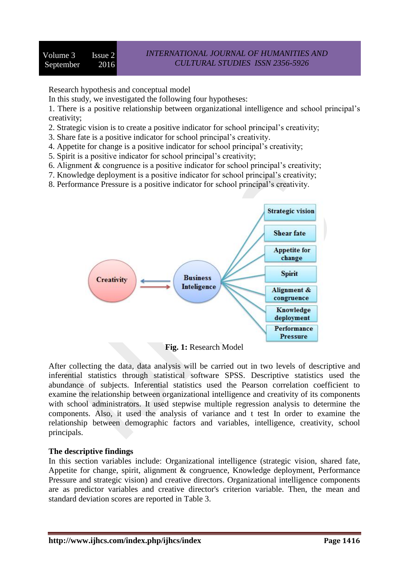Research hypothesis and conceptual model

In this study, we investigated the following four hypotheses:

1. There is a positive relationship between organizational intelligence and school principal's creativity;

- 2. Strategic vision is to create a positive indicator for school principal's creativity;
- 3. Share fate is a positive indicator for school principal's creativity.
- 4. Appetite for change is a positive indicator for school principal's creativity;
- 5. Spirit is a positive indicator for school principal's creativity;
- 6. Alignment & congruence is a positive indicator for school principal's creativity;
- 7. Knowledge deployment is a positive indicator for school principal's creativity;
- 8. Performance Pressure is a positive indicator for school principal's creativity.



**Fig. 1:** Research Model

After collecting the data, data analysis will be carried out in two levels of descriptive and inferential statistics through statistical software SPSS. Descriptive statistics used the abundance of subjects. Inferential statistics used the Pearson correlation coefficient to examine the relationship between organizational intelligence and creativity of its components with school administrators. It used stepwise multiple regression analysis to determine the components. Also, it used the analysis of variance and t test In order to examine the relationship between demographic factors and variables, intelligence, creativity, school principals.

## **The descriptive findings**

In this section variables include: Organizational intelligence (strategic vision, shared fate, Appetite for change, spirit, alignment & congruence, Knowledge deployment, Performance Pressure and strategic vision) and creative directors. Organizational intelligence components are as predictor variables and creative director's criterion variable. Then, the mean and standard deviation scores are reported in Table 3.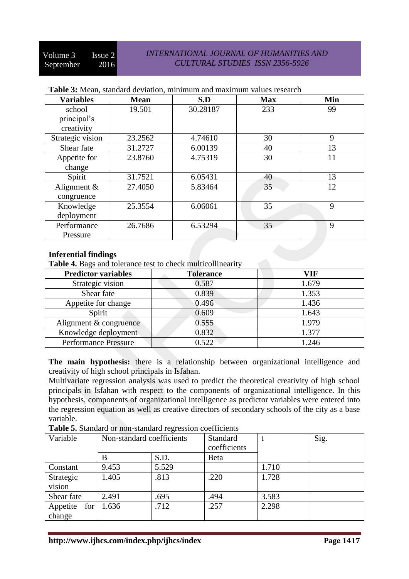## *INTERNATIONAL JOURNAL OF HUMANITIES AND CULTURAL STUDIES ISSN 2356-5926*

| <b>Variables</b>            | <b>Mean</b> | S.D      | <b>Max</b> | Min |
|-----------------------------|-------------|----------|------------|-----|
| school                      | 19.501      | 30.28187 | 233        | 99  |
| principal's                 |             |          |            |     |
| creativity                  |             |          |            |     |
| Strategic vision            | 23.2562     | 4.74610  | 30         | 9   |
| Shear fate                  | 31.2727     | 6.00139  | 40         | 13  |
| Appetite for                | 23.8760     | 4.75319  | 30         | 11  |
| change                      |             |          |            |     |
| Spirit                      | 31.7521     | 6.05431  | 40         | 13  |
| Alignment $\&$              | 27.4050     | 5.83464  | 35         | 12  |
| congruence                  |             |          |            |     |
| Knowledge                   | 25.3554     | 6.06061  | 35         | 9   |
| deployment                  |             |          |            |     |
| Performance                 | 26.7686     | 6.53294  | 35         | 9   |
| Pressure                    |             |          |            |     |
|                             |             |          |            |     |
| <b>Inferential findings</b> |             |          |            |     |

#### **Table 3:** Mean, standard deviation, minimum and maximum values research

### **Inferential findings**

**Table 4.** Bags and tolerance test to check multicollinearity

| <b>Predictor variables</b>  | <b>Tolerance</b> | VIF   |
|-----------------------------|------------------|-------|
| Strategic vision            | 0.587            | 1.679 |
| Shear fate                  | 0.839            | 1.353 |
| Appetite for change         | 0.496            | 1.436 |
| Spirit                      | 0.609            | 1.643 |
| Alignment & congruence      | 0.555            | 1.979 |
| Knowledge deployment        | 0.832            | 1.377 |
| <b>Performance Pressure</b> | 0.522            | 1.246 |

**The main hypothesis:** there is a relationship between organizational intelligence and creativity of high school principals in Isfahan.

Multivariate regression analysis was used to predict the theoretical creativity of high school principals in Isfahan with respect to the components of organizational intelligence. In this hypothesis, components of organizational intelligence as predictor variables were entered into the regression equation as well as creative directors of secondary schools of the city as a base variable.

|--|

| Variable                  | Non-standard coefficients |       | <b>Standard</b><br>coefficients |       | Sig. |
|---------------------------|---------------------------|-------|---------------------------------|-------|------|
|                           | B                         | S.D.  | Beta                            |       |      |
| Constant                  | 9.453                     | 5.529 |                                 | 1.710 |      |
| Strategic<br>vision       | 1.405                     | .813  | .220                            | 1.728 |      |
| Shear fate                | 2.491                     | .695  | .494                            | 3.583 |      |
| Appetite<br>for<br>change | 1.636                     | .712  | .257                            | 2.298 |      |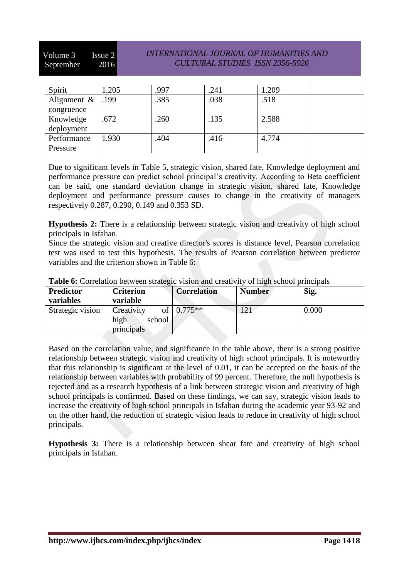Volume 3 Issue 2 September 2016

## *INTERNATIONAL JOURNAL OF HUMANITIES AND CULTURAL STUDIES ISSN 2356-5926*

| Spirit         | 1.205 | .997 | .241 | 1.209 |  |
|----------------|-------|------|------|-------|--|
| Alignment $\&$ | .199  | .385 | .038 | .518  |  |
| congruence     |       |      |      |       |  |
| Knowledge      | .672  | .260 | .135 | 2.588 |  |
| deployment     |       |      |      |       |  |
| Performance    | 1.930 | .404 | .416 | 4.774 |  |
| Pressure       |       |      |      |       |  |

Due to significant levels in Table 5, strategic vision, shared fate, Knowledge deployment and performance pressure can predict school principal's creativity. According to Beta coefficient can be said, one standard deviation change in strategic vision, shared fate, Knowledge deployment and performance pressure causes to change in the creativity of managers respectively 0.287, 0.290, 0.149 and 0.353 SD.

**Hypothesis 2:** There is a relationship between strategic vision and creativity of high school principals in Isfahan.

Since the strategic vision and creative director's scores is distance level, Pearson correlation test was used to test this hypothesis. The results of Pearson correlation between predictor variables and the criterion shown in Table 6:

| <b>Twore</b> of Contentron certificant prime, to them the error treft between primerpant |                  |                    |               |       |  |  |
|------------------------------------------------------------------------------------------|------------------|--------------------|---------------|-------|--|--|
| <b>Predictor</b>                                                                         | <b>Criterion</b> | <b>Correlation</b> | <b>Number</b> | Sig.  |  |  |
| variables                                                                                | variable         |                    |               |       |  |  |
| Strategic vision                                                                         | Creativity       | of $0.775**$       | $\bigcap$ 1   | 0.000 |  |  |
|                                                                                          | high<br>school   |                    |               |       |  |  |
|                                                                                          | principals       |                    |               |       |  |  |

**Table 6:** Correlation between strategic vision and creativity of high school principals

Based on the correlation value, and significance in the table above, there is a strong positive relationship between strategic vision and creativity of high school principals. It is noteworthy that this relationship is significant at the level of 0.01, it can be accepted on the basis of the relationship between variables with probability of 99 percent. Therefore, the null hypothesis is rejected and as a research hypothesis of a link between strategic vision and creativity of high school principals is confirmed. Based on these findings, we can say, strategic vision leads to increase the creativity of high school principals in Isfahan during the academic year 93-92 and on the other hand, the reduction of strategic vision leads to reduce in creativity of high school principals.

**Hypothesis 3:** There is a relationship between shear fate and creativity of high school principals in Isfahan.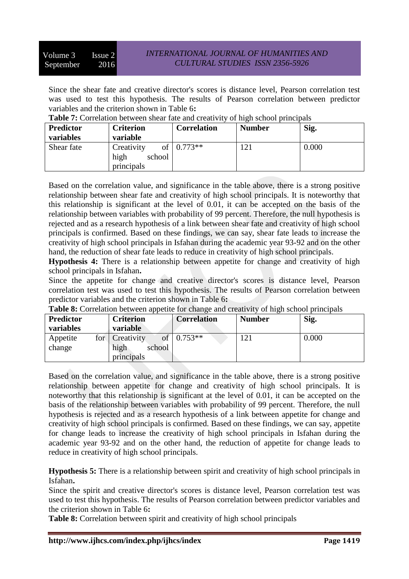Since the shear fate and creative director's scores is distance level, Pearson correlation test was used to test this hypothesis. The results of Pearson correlation between predictor variables and the criterion shown in Table 6**:**

| <b>Table 7:</b> Contention between shear had and createfuly of man school bringibals |                  |                    |               |       |  |  |
|--------------------------------------------------------------------------------------|------------------|--------------------|---------------|-------|--|--|
| <b>Predictor</b>                                                                     | <b>Criterion</b> | <b>Correlation</b> | <b>Number</b> | Sig.  |  |  |
| variables                                                                            | variable         |                    |               |       |  |  |
| Shear fate                                                                           | Creativity<br>Οt | $0.773**$          |               | 0.000 |  |  |
|                                                                                      | high<br>school   |                    |               |       |  |  |
|                                                                                      | principals       |                    |               |       |  |  |

**Table 7:** Correlation between shear fate and creativity of high school principals

Based on the correlation value, and significance in the table above, there is a strong positive relationship between shear fate and creativity of high school principals. It is noteworthy that this relationship is significant at the level of 0.01, it can be accepted on the basis of the relationship between variables with probability of 99 percent. Therefore, the null hypothesis is rejected and as a research hypothesis of a link between shear fate and creativity of high school principals is confirmed. Based on these findings, we can say, shear fate leads to increase the creativity of high school principals in Isfahan during the academic year 93-92 and on the other hand, the reduction of shear fate leads to reduce in creativity of high school principals.

**Hypothesis 4:** There is a relationship between appetite for change and creativity of high school principals in Isfahan**.**

Since the appetite for change and creative director's scores is distance level, Pearson correlation test was used to test this hypothesis. The results of Pearson correlation between predictor variables and the criterion shown in Table 6**:**

| <b>THERE</b> OF COLLORATOR OCEN COR appoint for change and createfully of high school principals |     |                  |        |                    |               |       |  |
|--------------------------------------------------------------------------------------------------|-----|------------------|--------|--------------------|---------------|-------|--|
| Predictor                                                                                        |     | <b>Criterion</b> |        | <b>Correlation</b> | <b>Number</b> | Sig.  |  |
| variables                                                                                        |     | variable         |        |                    |               |       |  |
| Appetite                                                                                         | for | Creativity       | ОŤ     | $10.753**$         |               | 0.000 |  |
| change                                                                                           |     | high             | school |                    |               |       |  |
|                                                                                                  |     | principals       |        |                    |               |       |  |

**Table 8:** Correlation between appetite for change and creativity of high school principals

Based on the correlation value, and significance in the table above, there is a strong positive relationship between appetite for change and creativity of high school principals. It is noteworthy that this relationship is significant at the level of 0.01, it can be accepted on the basis of the relationship between variables with probability of 99 percent. Therefore, the null hypothesis is rejected and as a research hypothesis of a link between appetite for change and creativity of high school principals is confirmed. Based on these findings, we can say, appetite for change leads to increase the creativity of high school principals in Isfahan during the academic year 93-92 and on the other hand, the reduction of appetite for change leads to reduce in creativity of high school principals.

**Hypothesis 5:** There is a relationship between spirit and creativity of high school principals in Isfahan**.**

Since the spirit and creative director's scores is distance level, Pearson correlation test was used to test this hypothesis. The results of Pearson correlation between predictor variables and the criterion shown in Table 6**:**

**Table 8:** Correlation between spirit and creativity of high school principals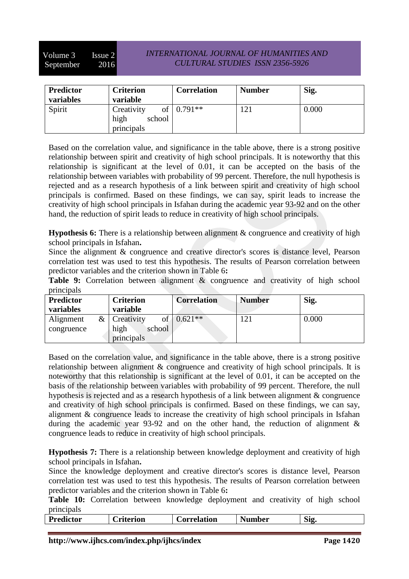Volume 3 Issue 2 September 2016

## *INTERNATIONAL JOURNAL OF HUMANITIES AND CULTURAL STUDIES ISSN 2356-5926*

| <b>Predictor</b><br>variables | <b>Criterion</b><br>variable                     | <b>Correlation</b> | <b>Number</b> | Sig.  |
|-------------------------------|--------------------------------------------------|--------------------|---------------|-------|
| Spirit                        | Creativity<br>of<br>high<br>school<br>principals | $0.791**$          | 121           | 0.000 |

Based on the correlation value, and significance in the table above, there is a strong positive relationship between spirit and creativity of high school principals. It is noteworthy that this relationship is significant at the level of 0.01, it can be accepted on the basis of the relationship between variables with probability of 99 percent. Therefore, the null hypothesis is rejected and as a research hypothesis of a link between spirit and creativity of high school principals is confirmed. Based on these findings, we can say, spirit leads to increase the creativity of high school principals in Isfahan during the academic year 93-92 and on the other hand, the reduction of spirit leads to reduce in creativity of high school principals.

**Hypothesis 6:** There is a relationship between alignment & congruence and creativity of high school principals in Isfahan**.**

Since the alignment & congruence and creative director's scores is distance level, Pearson correlation test was used to test this hypothesis. The results of Pearson correlation between predictor variables and the criterion shown in Table 6**:**

**Table 9:** Correlation between alignment & congruence and creativity of high school principals

| <b>Predictor</b> | <b>Criterion</b>        | <b>Correlation</b> | <b>Number</b> | Sig.  |
|------------------|-------------------------|--------------------|---------------|-------|
| variables        | variable                |                    |               |       |
| &<br>Alignment   | οf<br><b>Creativity</b> | $0.621**$          | 121           | 0.000 |
| congruence       | high<br>school          |                    |               |       |
|                  | principals              |                    |               |       |

Based on the correlation value, and significance in the table above, there is a strong positive relationship between alignment & congruence and creativity of high school principals. It is noteworthy that this relationship is significant at the level of 0.01, it can be accepted on the basis of the relationship between variables with probability of 99 percent. Therefore, the null hypothesis is rejected and as a research hypothesis of a link between alignment & congruence and creativity of high school principals is confirmed. Based on these findings, we can say, alignment & congruence leads to increase the creativity of high school principals in Isfahan during the academic year 93-92 and on the other hand, the reduction of alignment & congruence leads to reduce in creativity of high school principals.

**Hypothesis 7:** There is a relationship between knowledge deployment and creativity of high school principals in Isfahan**.**

Since the knowledge deployment and creative director's scores is distance level, Pearson correlation test was used to test this hypothesis. The results of Pearson correlation between predictor variables and the criterion shown in Table 6**:**

**Table 10:** Correlation between knowledge deployment and creativity of high school principals

| <br>edictor |  |  | erion | <b>orrelation</b> | - -<br>∣umber | $\sim$<br>S1f |  |  |
|-------------|--|--|-------|-------------------|---------------|---------------|--|--|
|             |  |  |       |                   |               |               |  |  |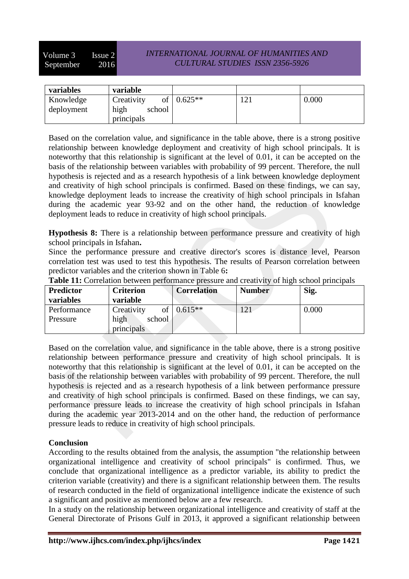Volume 3 Issue 2 September 2016

## *INTERNATIONAL JOURNAL OF HUMANITIES AND CULTURAL STUDIES ISSN 2356-5926*

| variables               | variable                           |                |       |
|-------------------------|------------------------------------|----------------|-------|
| Knowledge<br>deployment | of<br>Creativity<br>high<br>school | $\log 0.625**$ | 0.000 |
|                         | principals                         |                |       |

Based on the correlation value, and significance in the table above, there is a strong positive relationship between knowledge deployment and creativity of high school principals. It is noteworthy that this relationship is significant at the level of 0.01, it can be accepted on the basis of the relationship between variables with probability of 99 percent. Therefore, the null hypothesis is rejected and as a research hypothesis of a link between knowledge deployment and creativity of high school principals is confirmed. Based on these findings, we can say, knowledge deployment leads to increase the creativity of high school principals in Isfahan during the academic year 93-92 and on the other hand, the reduction of knowledge deployment leads to reduce in creativity of high school principals.

**Hypothesis 8:** There is a relationship between performance pressure and creativity of high school principals in Isfahan**.**

Since the performance pressure and creative director's scores is distance level, Pearson correlation test was used to test this hypothesis. The results of Pearson correlation between predictor variables and the criterion shown in Table 6**:**

| <b>Predictor</b> | <b>Criterion</b> | <b>Correlation</b> | <b>Number</b> | Sig.  |
|------------------|------------------|--------------------|---------------|-------|
| variables        | variable         |                    |               |       |
| Performance      | Creativity<br>of | $0.615**$          |               | 0.000 |
| Pressure         | high<br>school   |                    |               |       |
|                  | principals       |                    |               |       |

**Table 11:** Correlation between performance pressure and creativity of high school principals

Based on the correlation value, and significance in the table above, there is a strong positive relationship between performance pressure and creativity of high school principals. It is noteworthy that this relationship is significant at the level of 0.01, it can be accepted on the basis of the relationship between variables with probability of 99 percent. Therefore, the null hypothesis is rejected and as a research hypothesis of a link between performance pressure and creativity of high school principals is confirmed. Based on these findings, we can say, performance pressure leads to increase the creativity of high school principals in Isfahan during the academic year 2013-2014 and on the other hand, the reduction of performance pressure leads to reduce in creativity of high school principals.

## **Conclusion**

According to the results obtained from the analysis, the assumption "the relationship between organizational intelligence and creativity of school principals" is confirmed. Thus, we conclude that organizational intelligence as a predictor variable, its ability to predict the criterion variable (creativity) and there is a significant relationship between them. The results of research conducted in the field of organizational intelligence indicate the existence of such a significant and positive as mentioned below are a few research.

In a study on the relationship between organizational intelligence and creativity of staff at the General Directorate of Prisons Gulf in 2013, it approved a significant relationship between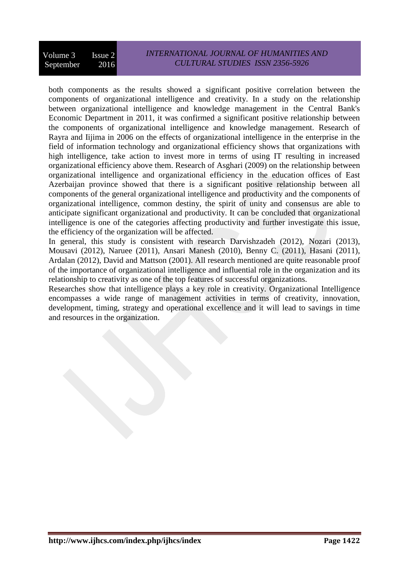## *INTERNATIONAL JOURNAL OF HUMANITIES AND CULTURAL STUDIES ISSN 2356-5926*

both components as the results showed a significant positive correlation between the components of organizational intelligence and creativity. In a study on the relationship between organizational intelligence and knowledge management in the Central Bank's Economic Department in 2011, it was confirmed a significant positive relationship between the components of organizational intelligence and knowledge management. Research of Rayra and Iijima in 2006 on the effects of organizational intelligence in the enterprise in the field of information technology and organizational efficiency shows that organizations with high intelligence, take action to invest more in terms of using IT resulting in increased organizational efficiency above them. Research of Asghari (2009) on the relationship between organizational intelligence and organizational efficiency in the education offices of East Azerbaijan province showed that there is a significant positive relationship between all components of the general organizational intelligence and productivity and the components of organizational intelligence, common destiny, the spirit of unity and consensus are able to anticipate significant organizational and productivity. It can be concluded that organizational intelligence is one of the categories affecting productivity and further investigate this issue, the efficiency of the organization will be affected.

In general, this study is consistent with research Darvishzadeh (2012), Nozari (2013), Mousavi (2012), Naruee (2011), Ansari Manesh (2010), Benny C. (2011), Hasani (2011), Ardalan (2012), David and Mattson (2001). All research mentioned are quite reasonable proof of the importance of organizational intelligence and influential role in the organization and its relationship to creativity as one of the top features of successful organizations.

Researches show that intelligence plays a key role in creativity. Organizational Intelligence encompasses a wide range of management activities in terms of creativity, innovation, development, timing, strategy and operational excellence and it will lead to savings in time and resources in the organization.